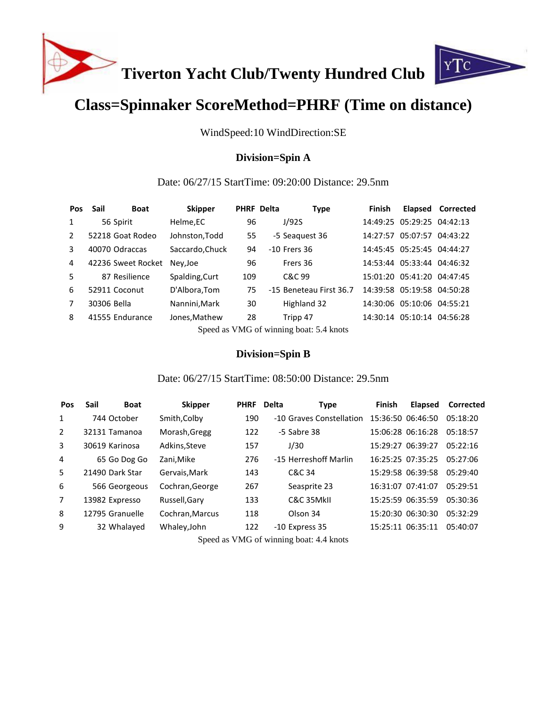

# **Class=Spinnaker ScoreMethod=PHRF (Time on distance)**

WindSpeed:10 WindDirection:SE

## **Division=Spin A**

### Date: 06/27/15 StartTime: 09:20:00 Distance: 29.5nm

| <b>Pos</b>     | Sail<br><b>Boat</b> |          | <b>Skipper</b>                               |     | <b>PHRF Delta</b> | <b>Type</b>             | Finish |                            | <b>Elapsed Corrected</b> |
|----------------|---------------------|----------|----------------------------------------------|-----|-------------------|-------------------------|--------|----------------------------|--------------------------|
| $\mathbf{1}$   | 56 Spirit           | Helme,EC |                                              | 96  |                   | J/92S                   |        | 14:49:25 05:29:25 04:42:13 |                          |
| $\overline{2}$ | 52218 Goat Rodeo    |          | Johnston, Todd                               | 55  |                   | -5 Seaguest 36          |        | 14:27:57 05:07:57 04:43:22 |                          |
| 3              | 40070 Odraccas      |          | Saccardo, Chuck                              | 94  |                   | $-10$ Frers 36          |        | 14:45:45 05:25:45 04:44:27 |                          |
| 4              | 42236 Sweet Rocket  | Nev, Joe |                                              | 96  |                   | Frers 36                |        | 14:53:44 05:33:44 04:46:32 |                          |
| 5              | 87 Resilience       |          | Spalding, Curt                               | 109 |                   | C&C 99                  |        | 15:01:20 05:41:20 04:47:45 |                          |
| 6              | 52911 Coconut       |          | D'Albora, Tom                                | 75  |                   | -15 Beneteau First 36.7 |        | 14:39:58 05:19:58 04:50:28 |                          |
| $\overline{7}$ | 30306 Bella         |          | Nannini, Mark                                | 30  |                   | Highland 32             |        | 14:30:06 05:10:06 04:55:21 |                          |
| 8              | 41555 Endurance     |          | Jones, Mathew                                | 28  |                   | Tripp 47                |        | 14:30:14 05:10:14 04:56:28 |                          |
|                |                     |          | $\alpha$ 1 $\alpha$ $\alpha$ $\beta$ $\beta$ |     |                   |                         |        |                            |                          |

Speed as VMG of winning boat: 5.4 knots

#### **Division=Spin B**

### Date: 06/27/15 StartTime: 08:50:00 Distance: 29.5nm

| <b>Pos</b>     | <b>Boat</b><br>Sail | <b>Skipper</b>  | <b>PHRF</b> Delta | <b>Type</b>              | Finish | <b>Elapsed</b>    | Corrected |
|----------------|---------------------|-----------------|-------------------|--------------------------|--------|-------------------|-----------|
| 1              | 744 October         | Smith, Colby    | 190               | -10 Graves Constellation |        | 15:36:50 06:46:50 | 05:18:20  |
| 2              | 32131 Tamanoa       | Morash, Gregg   | 122               | -5 Sabre 38              |        | 15:06:28 06:16:28 | 05:18:57  |
| 3              | 30619 Karinosa      | Adkins, Steve   | 157               | J/30                     |        | 15:29:27 06:39:27 | 05:22:16  |
| 4              | 65 Go Dog Go        | Zani, Mike      | 276               | -15 Herreshoff Marlin    |        | 16:25:25 07:35:25 | 05:27:06  |
| 5              | 21490 Dark Star     | Gervais, Mark   | 143               | C&C 34                   |        | 15:29:58 06:39:58 | 05:29:40  |
| 6              | 566 Georgeous       | Cochran, George | 267               | Seasprite 23             |        | 16:31:07 07:41:07 | 05:29:51  |
| $\overline{7}$ | 13982 Expresso      | Russell, Gary   | 133               | C&C 35MkII               |        | 15:25:59 06:35:59 | 05:30:36  |
| 8              | 12795 Granuelle     | Cochran, Marcus | 118               | Olson 34                 |        | 15:20:30 06:30:30 | 05:32:29  |
| 9              | 32 Whalayed         | Whaley, John    | 122               | -10 Express 35           |        | 15:25:11 06:35:11 | 05:40:07  |
|                |                     |                 |                   |                          |        |                   |           |

Speed as VMG of winning boat: 4.4 knots